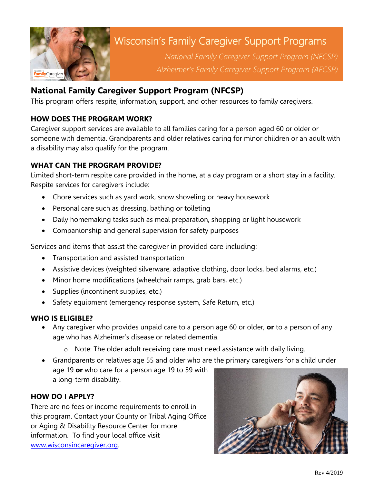

# Wisconsin's Family Caregiver Support Programs

*National Family Caregiver Support Program (NFCSP) Alzheimer's Family Caregiver Support Program (AFCSP)*

# **National Family Caregiver Support Program (NFCSP)**

This program offers respite, information, support, and other resources to family caregivers.

# **HOW DOES THE PROGRAM WORK?**

Caregiver support services are available to all families caring for a person aged 60 or older or someone with dementia. Grandparents and older relatives caring for minor children or an adult with a disability may also qualify for the program.

# **WHAT CAN THE PROGRAM PROVIDE?**

Limited short-term respite care provided in the home, at a day program or a short stay in a facility. Respite services for caregivers include:

- Chore services such as yard work, snow shoveling or heavy housework
- Personal care such as dressing, bathing or toileting
- Daily homemaking tasks such as meal preparation, shopping or light housework
- Companionship and general supervision for safety purposes

Services and items that assist the caregiver in provided care including:

- Transportation and assisted transportation
- Assistive devices (weighted silverware, adaptive clothing, door locks, bed alarms, etc.)
- Minor home modifications (wheelchair ramps, grab bars, etc.)
- Supplies (incontinent supplies, etc.)
- Safety equipment (emergency response system, Safe Return, etc.)

# **WHO IS ELIGIBLE?**

- Any caregiver who provides unpaid care to a person age 60 or older, **or** to a person of any age who has Alzheimer's disease or related dementia.
	- o Note: The older adult receiving care must need assistance with daily living.
- Grandparents or relatives age 55 and older who are the primary caregivers for a child under age 19 **or** who care for a person age 19 to 59 with a long-term disability.

# **HOW DO I APPLY?**

There are no fees or income requirements to enroll in this program. Contact your County or Tribal Aging Office or Aging & Disability Resource Center for more information. To find your local office visit [www.wisconsincaregiver.org.](file://///gwaar-dc1.gwaar.local/public/TEAM%20-%20CAREGIVING/www.wisconsincaregiver.org%20)